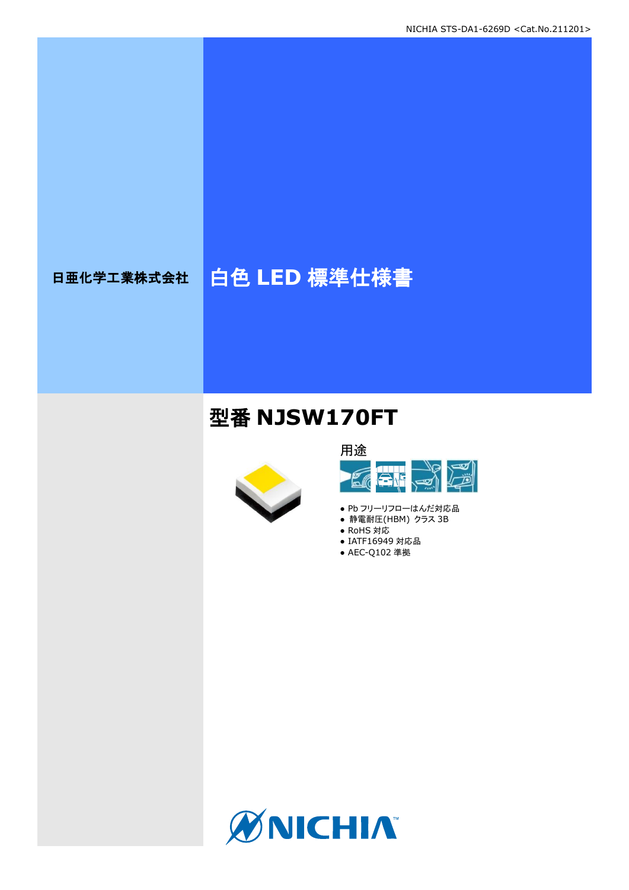# 日亜化学工業株式会社 | 白色 LED 標準仕様書

# 型番 **NJSW170FT**





- Pb フリーリフローはんだ対応品
- **静電耐圧(HBM) クラス 3B**
- RoHS 対応
- IATF16949 対応品 ● AEC-Q102 準拠

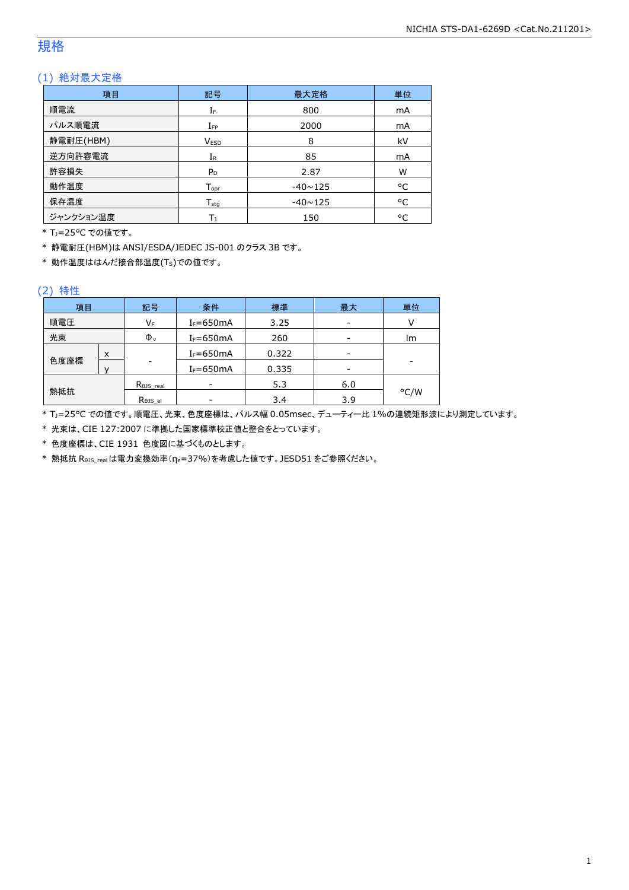### 規格

### (1) 絶対最大定格

| 項目        | 記号                 | 最大定格           | 単位 |
|-----------|--------------------|----------------|----|
| 順電流       | IF                 | 800            | mA |
| パルス順電流    | $I_{FP}$           | 2000           | mA |
| 静電耐圧(HBM) | <b>VESD</b>        | 8              | kV |
| 逆方向許容電流   | $I_{R}$            | 85             | mA |
| 許容損失      | $P_D$              | 2.87           | W  |
| 動作温度      | $T_{\mathsf{opr}}$ | $-40 \sim 125$ | °C |
| 保存温度      | $T_{sta}$          | $-40 \sim 125$ | °C |
| ジャンクション温度 | Т١                 | 150            | °C |

\* TJ=25°C での値です。

\* 静電耐圧(HBM)は ANSI/ESDA/JEDEC JS-001 のクラス 3B です。

\* 動作温度ははんだ接合部温度(TS)での値です。

#### (2) 特性

| 項目   |   | 記号                   | 条件            | 標準    | 最大  | 単位   |
|------|---|----------------------|---------------|-------|-----|------|
| 順電圧  |   | VF                   | $I_F = 650mA$ | 3.25  |     |      |
| 光束   |   | $\Phi_{v}$           | $I_F = 650mA$ | 260   |     | lm   |
|      | X |                      | $I_F = 650mA$ | 0.322 |     |      |
| 色度座標 |   | ۰                    | $I_F = 650mA$ | 0.335 |     | -    |
|      |   | $R_{\theta}$ JS_real |               | 5.3   | 6.0 |      |
| 熱抵抗  |   | Rejs el              |               | 3.4   | 3.9 | °C/W |

\* TJ=25°C での値です。順電圧、光束、色度座標は、パルス幅 0.05msec、デューティー比 1%の連続矩形波により測定しています。

\* 光束は、CIE 127:2007 に準拠した国家標準校正値と整合をとっています。

\* 色度座標は、CIE 1931 色度図に基づくものとします。

\* 熱抵抗 RθJS\_realは電力変換効率(ηe=37%)を考慮した値です。JESD51 をご参照ください。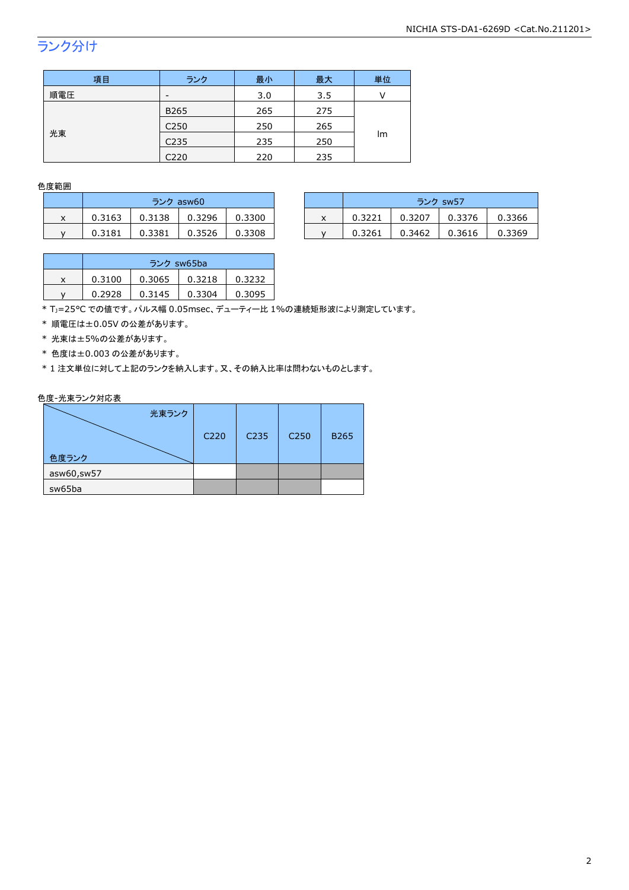## ランク分け

| 項目  | ランク              | 最小  | 最大  | 単位 |  |
|-----|------------------|-----|-----|----|--|
| 順電圧 | -                | 3.0 | 3.5 |    |  |
|     | B265             | 265 | 275 | Im |  |
|     | C <sub>250</sub> | 250 | 265 |    |  |
| 光束  | C <sub>235</sub> | 235 | 250 |    |  |
|     | C220             | 220 | 235 |    |  |

#### 色度範囲

|   | ランク asw60 |        |        |        |  |  |
|---|-----------|--------|--------|--------|--|--|
| x | 0.3163    | 0.3138 | 0.3296 | 0.3300 |  |  |
| v | 0.3181    | 0.3381 | 0.3526 | 0.3308 |  |  |

|   | ランク asw60 |        |        |        |  |        | ランク sw57 |        |        |
|---|-----------|--------|--------|--------|--|--------|----------|--------|--------|
| ^ | 0.3163    | 0.3138 | 0.3296 | 0.3300 |  | 0.3221 | 0.3207   | 0.3376 | 0.3366 |
|   | 0.3181    | 0.3381 | 0.3526 | 0.3308 |  | 0.3261 | 0.3462   | 0.3616 | 0.3369 |

|   | ランク sw65ba |        |        |        |  |  |
|---|------------|--------|--------|--------|--|--|
| x | 0.3100     | 0.3065 | 0.3218 | 0.3232 |  |  |
|   | 0.2928     | 0.3145 | 0.3304 | 0.3095 |  |  |

\* TJ=25°C での値です。パルス幅 0.05msec、デューティー比 1%の連続矩形波により測定しています。

\* 順電圧は±0.05V の公差があります。

\* 光束は±5%の公差があります。

\* 色度は±0.003 の公差があります。

\* 1 注文単位に対して上記のランクを納入します。又、その納入比率は問わないものとします。

#### 色度-光束ランク対応表

|            | 光束ランク |      |      |                  |             |
|------------|-------|------|------|------------------|-------------|
|            |       | C220 | C235 | C <sub>250</sub> | <b>B265</b> |
| 色度ランク      |       |      |      |                  |             |
| asw60,sw57 |       |      |      |                  |             |
| sw65ba     |       |      |      |                  |             |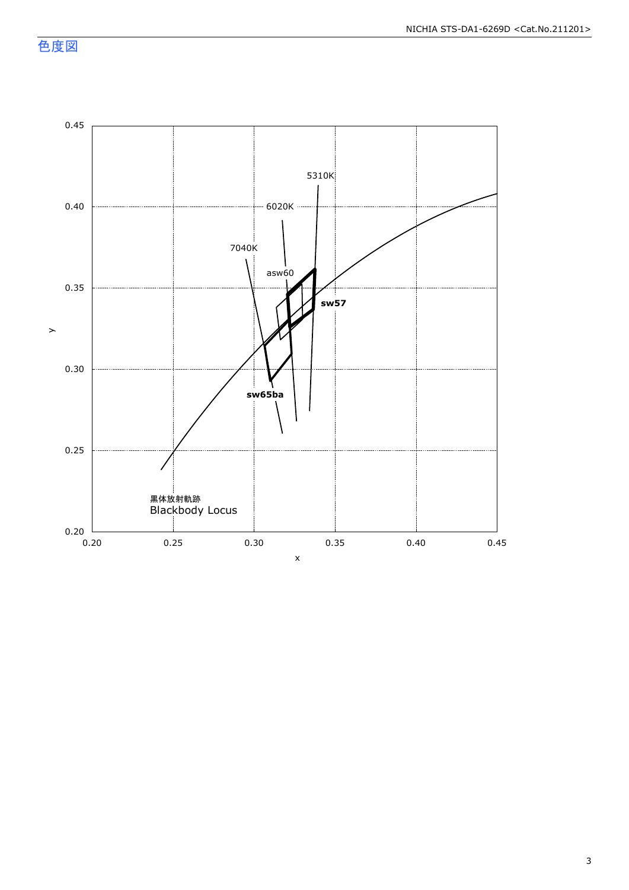色度図

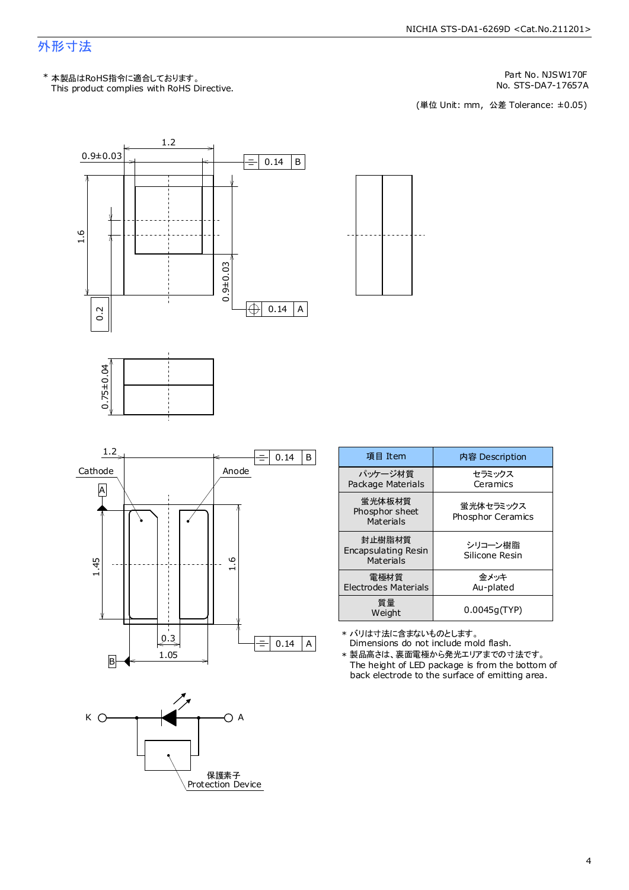### 外形寸法

This product complies with RoHS Directive. \* 本製品はRoHS指令に適合しております。

Part No. NJSW170F

No. STS-DA7-17657A<br>(単位 Unit: mm,公差 Tolerance: ±0.05)





| $0.75 \pm 0.04$ |  |
|-----------------|--|





| 項目 Item                                    | 内容 Description                        |
|--------------------------------------------|---------------------------------------|
| パッケージ材質<br>Package Materials               | セラミックス<br>Ceramics                    |
| 蛍光体板材質<br>Phosphor sheet<br>Materials      | 蛍光体セラミックス<br><b>Phosphor Ceramics</b> |
| 封止樹脂材質<br>Encapsulating Resin<br>Materials | シリコーン樹脂<br>Silicone Resin             |
| 電極材質<br>Electrodes Materials               | 金メッキ<br>Au-plated                     |
| 質量<br>Weight                               | 0.0045q(TYP)                          |

\* バリは寸法に含まないものとします。

 $0.14 \mid A \mid$  Dimensions do not include mold flash. The height of LED package is from the bottom of \* 製品高さは、裏面電極から発光エリアまでの寸法です。

back electrode to the surface of emitting area.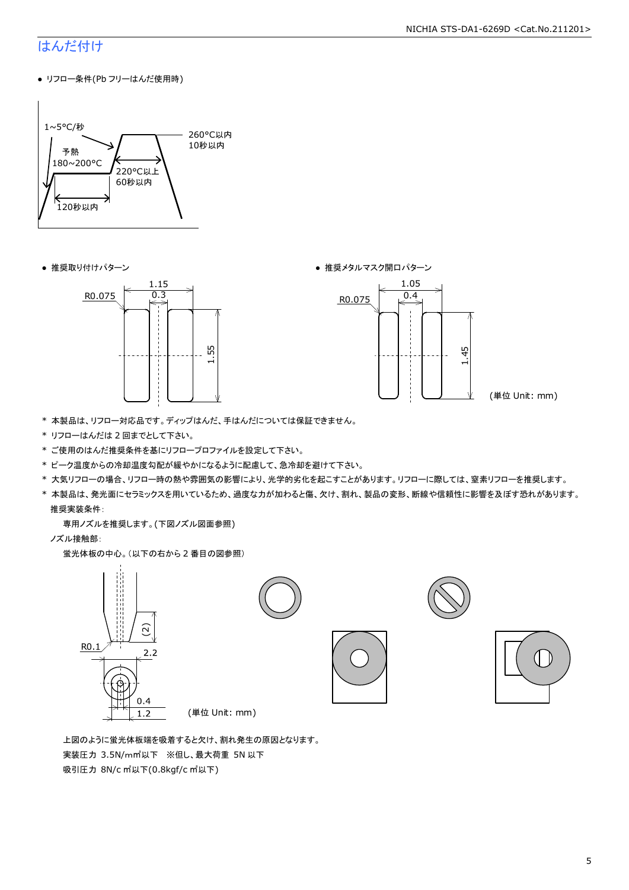#### NICHIA STS-DA1-6269D <Cat.No.211201>

### はんだ付け

● リフロー条件(Pb フリーはんだ使用時)



● 推奨取り付けパターン ろんじょう しょうしゃ ゆうしゃ ウィック あんきょう きょうかん きゅうしょく 推奨メタルマスク開口パターン





(単位 Unit: mm)

- \* 本製品は、リフロー対応品です。ディップはんだ、手はんだについては保証できません。
- \* リフローはんだは 2 回までとして下さい。
- \* ご使用のはんだ推奨条件を基にリフロープロファイルを設定して下さい。
- \* ピーク温度からの冷却温度勾配が緩やかになるように配慮して、急冷却を避けて下さい。
- \* 大気リフローの場合、リフロー時の熱や雰囲気の影響により、光学的劣化を起こすことがあります。リフローに際しては、窒素リフローを推奨します。
- \* 本製品は、発光面にセラミックスを用いているため、過度な力が加わると傷、欠け、割れ、製品の変形、断線や信頼性に影響を及ぼす恐れがあります。 推奨実装条件:

専用ノズルを推奨します。(下図ノズル図面参照)

ノズル接触部:

蛍光体板の中心。(以下の右から 2 番目の図参照)



 上図のように蛍光体板端を吸着すると欠け、割れ発生の原因となります。 実装圧力 3.5N/m㎡以下 ※但し、最大荷重 5N 以下 吸引圧力 8N/c ㎡以下(0.8kgf/c ㎡以下)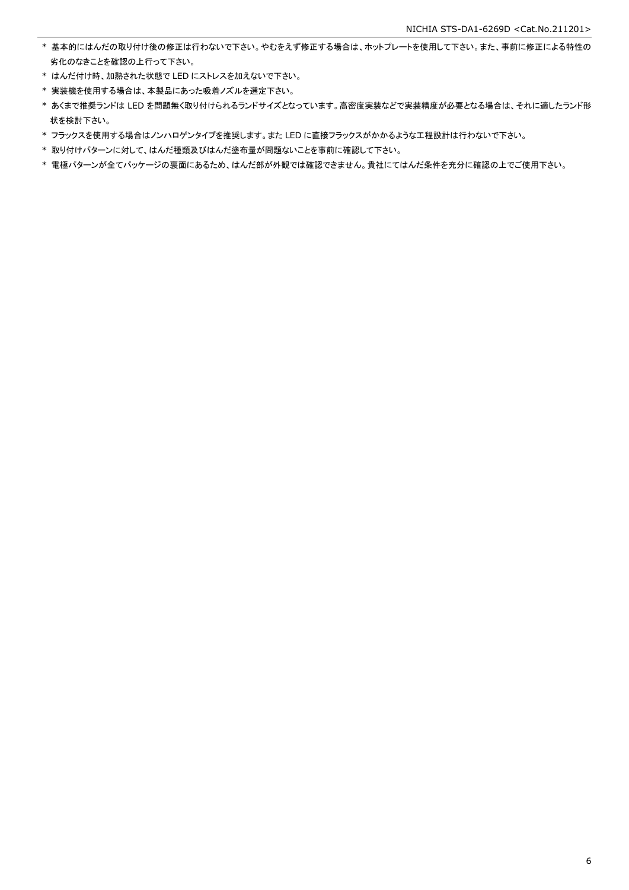- \* 基本的にはんだの取り付け後の修正は行わないで下さい。やむをえず修正する場合は、ホットプレートを使用して下さい。また、事前に修正による特性の 劣化のなきことを確認の上行って下さい。
- \* はんだ付け時、加熱された状態で LED にストレスを加えないで下さい。
- \* 実装機を使用する場合は、本製品にあった吸着ノズルを選定下さい。
- \* あくまで推奨ランドは LED を問題無く取り付けられるランドサイズとなっています。高密度実装などで実装精度が必要となる場合は、それに適したランド形 状を検討下さい。
- \* フラックスを使用する場合はノンハロゲンタイプを推奨します。また LED に直接フラックスがかかるような工程設計は行わないで下さい。
- \* 取り付けパターンに対して、はんだ種類及びはんだ塗布量が問題ないことを事前に確認して下さい。
- \* 電極パターンが全てパッケージの裏面にあるため、はんだ部が外観では確認できません。貴社にてはんだ条件を充分に確認の上でご使用下さい。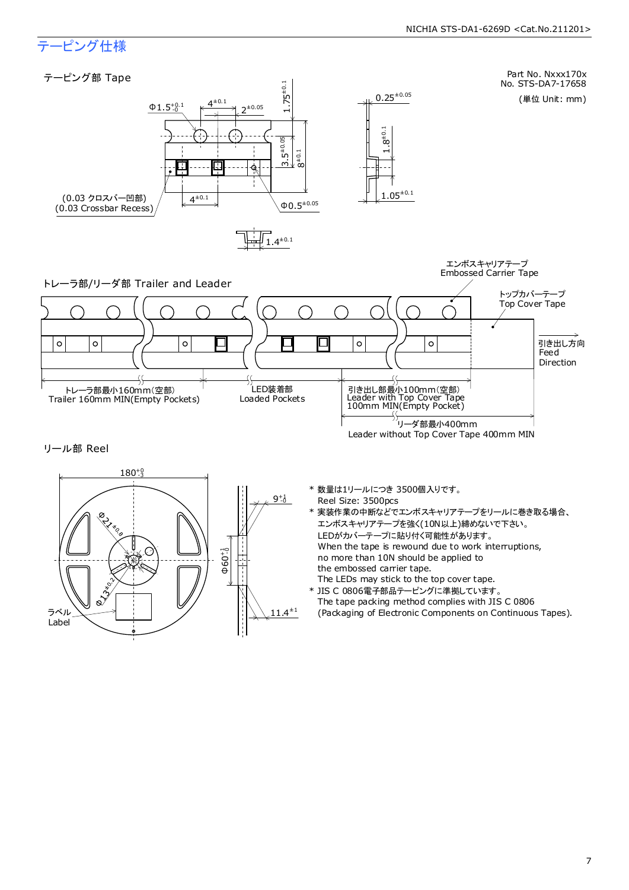### テーピング仕様

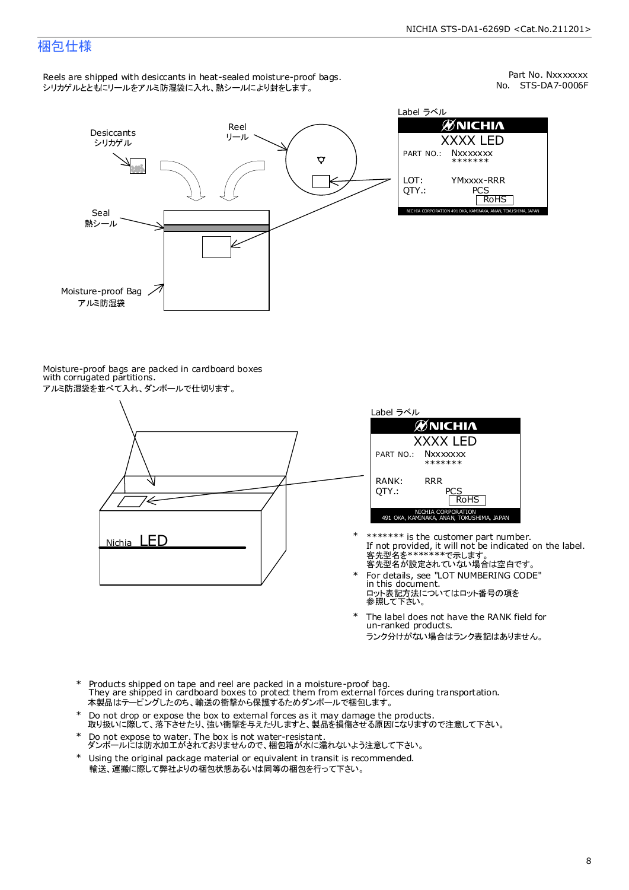### 梱包仕様

Reels are shipped with desiccants in heat-sealed moisture-proof bags. シリカゲルとともにリールをアルミ防湿袋に入れ、熱シールにより封をします。

No. STS-DA7-0006F Part No. Nxxxxxxx



Label ラベル  $\mathscr{D}$ NICHIA XXXX LED PART NO.: **Nxxxxxxx** \*\*\*\*\*\*\* LOT: YMxxxx-RRR QTY.: PCS<br>RoHS INAKA, ANAN, TOKUSHIMA, JA

Moisture-proof bags are packed in cardboard boxes with corrugated partitions. アルミ防湿袋を並べて入れ、ダンボールで仕切ります。





- 客先型名が設定されていない場合は空白です。 客先型名を\*\*\*\*\*\*\*で示します。 If not provided, it will not be indicated on the label. \*\*\*\*\*\*\* is the customer part number.
- For details, see "LOT NUMBERING CODE" in this document. ロット表記方法についてはロット番号の項を<br>参照して下さい。 \*
- The label does not have the RANK field for un-ranked products. ランク分けがない場合はランク表記はありません。 \*
- Products shipped on tape and reel are packed in a moisture-proof bag. They are shipped in cardboard boxes to protect them from external forces during transportation. 本製品はテーピングしたのち、輸送の衝撃から保護するためダンボールで梱包します。 \*
- Do not drop or expose the box to external forces as it may damage the products. 取り扱いに際して、落下させたり、強い衝撃を与えたりしますと、製品を損傷させる原因になりますので注意して下さい。 \*
- Do not expose to water. The box is not water-resistant. ダンボールには防水加工がされておりませんので、梱包箱が水に濡れないよう注意して下さい。 \*
- \* Using the original package material or equivalent in transit is recommended. 輸送、運搬に際して弊社よりの梱包状態あるいは同等の梱包を行って下さい。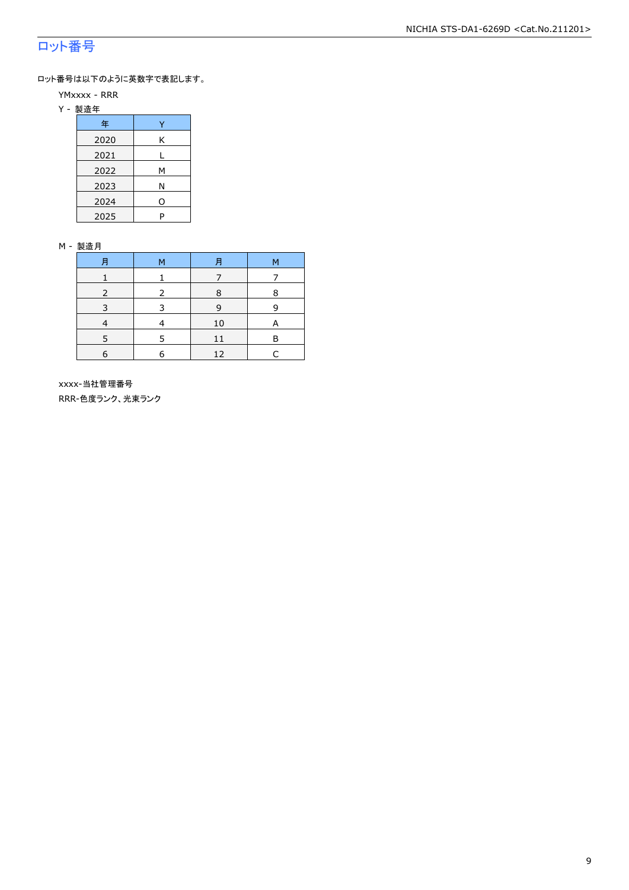### ロット番号

ロット番号は以下のように英数字で表記します。

- YMxxxx RRR
- Y 製造年

| 年    |   |
|------|---|
| 2020 | Κ |
| 2021 |   |
| 2022 | м |
| 2023 | Ν |
| 2024 | ი |
| 2025 | P |

#### M - 製造月

| 月 | м | 月  | м |
|---|---|----|---|
|   |   |    |   |
|   |   | 8  | 8 |
| ₹ |   | 9  | q |
|   |   | 10 |   |
|   |   | 11 | R |
| 6 |   | 12 | L |

 xxxx-当社管理番号 RRR-色度ランク、光束ランク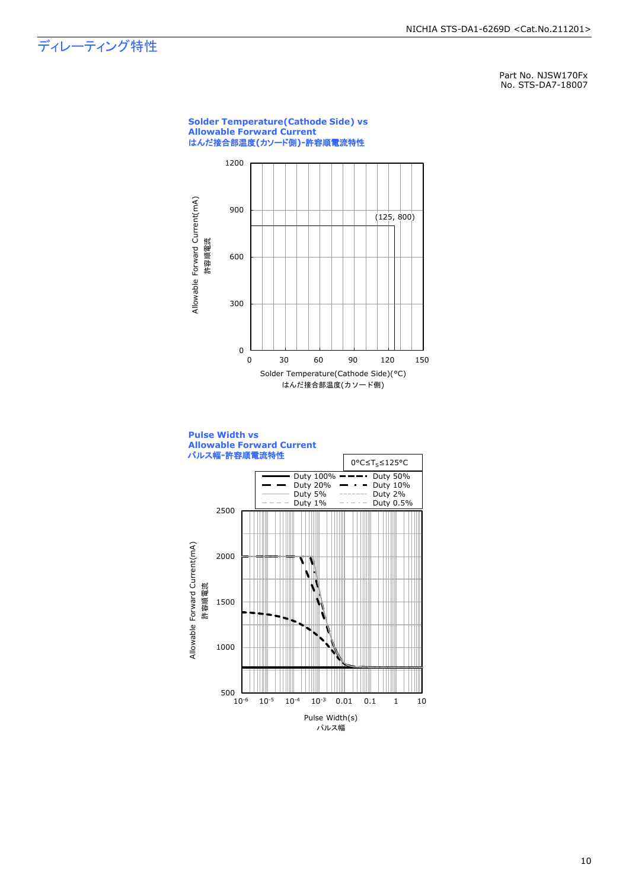### ディレーティング特性

Part No. NJSW170Fx No. STS-DA7-18007

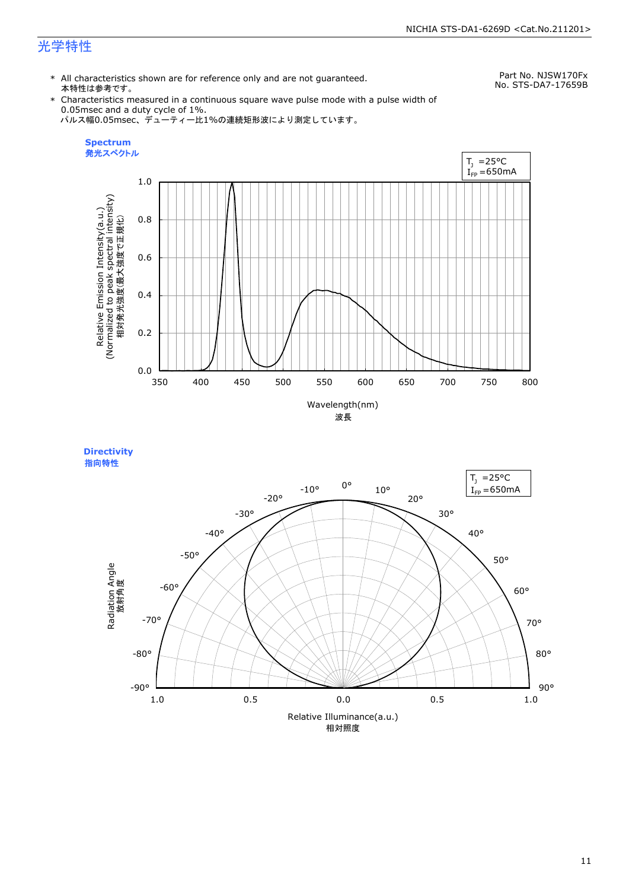### 光学特性

\* All characteristics shown are for reference only and are not guaranteed. 本特性は参考です。

Part No. NJSW170Fx No. STS-DA7-17659B

\* Characteristics measured in a continuous square wave pulse mode with a pulse width of 0.05msec and a duty cycle of 1%. パルス幅0.05msec、デューティー比1%の連続矩形波により測定しています。





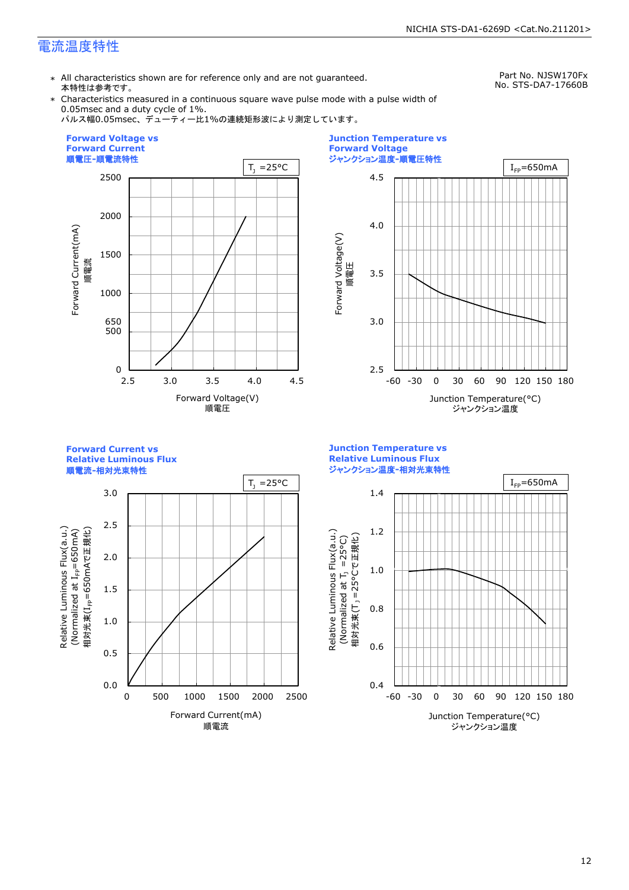### 電流温度特性

\* All characteristics shown are for reference only and are not guaranteed. 本特性は参考です。

Part No. NJSW170Fx No. STS-DA7-17660B

\* Characteristics measured in a continuous square wave pulse mode with a pulse width of 0.05msec and a duty cycle of 1%.

パルス幅0.05msec、デューティー比1%の連続矩形波により測定しています。





**Forward Current vs Relative Luminous Flux**

順電流**-**相対光束特性



**Junction Temperature vs Relative Luminous Flux** ジャンクション温度**-**相対光束特性

Relative Luminous Flux(a.u.)

Relative Luminous Flux(a.u.)

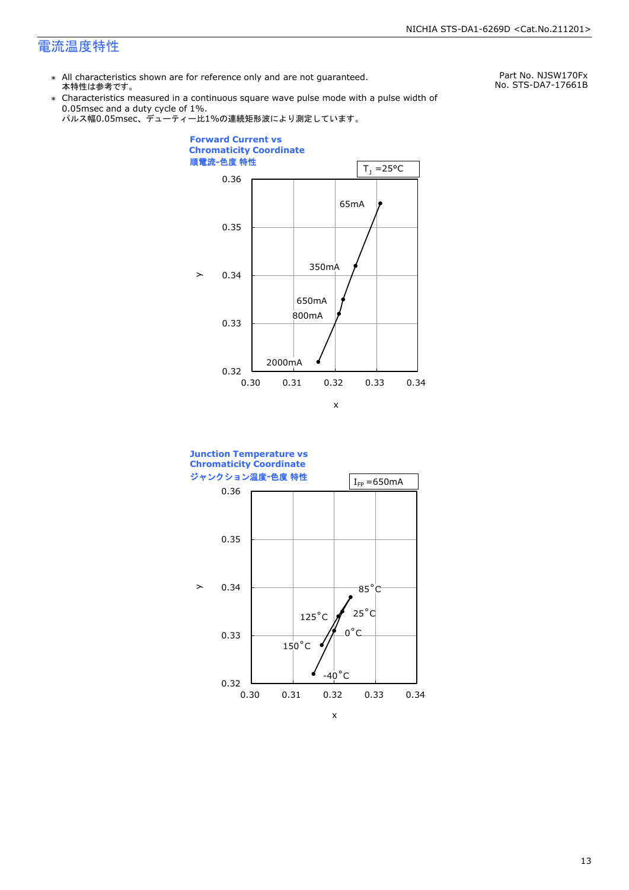### 電流温度特性

\* All characteristics shown are for reference only and are not guaranteed. 本特性は参考です。

Part No. NJSW170Fx No. STS-DA7-17661B

\* Characteristics measured in a continuous square wave pulse mode with a pulse width of 0.05msec and a duty cycle of 1%.





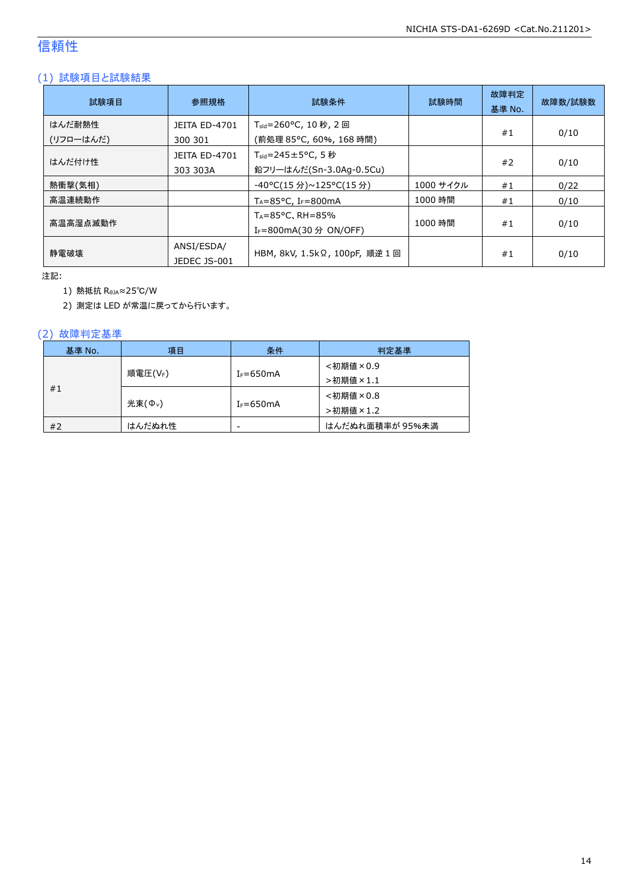### 信頼性

### (1) 試験項目と試験結果

| 試験項目                | 参照規格                             | 試験条件                                                                   | 試験時間      | 故障判定<br>基準 No. | 故障数/試験数 |
|---------------------|----------------------------------|------------------------------------------------------------------------|-----------|----------------|---------|
| はんだ耐熱性<br>(リフローはんだ) | <b>JEITA ED-4701</b><br>300 301  | T <sub>sld</sub> =260°C, 10 秒, 2 回<br>(前処理 85℃, 60%, 168 時間)           |           | #1             | 0/10    |
| はんだ付け性              | <b>JEITA ED-4701</b><br>303 303A | $T_{\text{std}} = 245 \pm 5^{\circ}$ C, 5 秒<br>鉛フリーはんだ(Sn-3.0Ag-0.5Cu) |           | #2             | 0/10    |
| 熱衝撃(気相)             |                                  | -40°C(15 分)~125°C(15 分)                                                | 1000 サイクル | #1             | 0/22    |
| 高温連続動作              |                                  | $T_A = 85^{\circ}$ C, I <sub>F</sub> =800mA                            | 1000 時間   | #1             | 0/10    |
| 高温高湿点滅動作            |                                  | $T_A = 85^{\circ}$ C, RH = 85%<br>I <sub>F</sub> =800mA(30 分 ON/OFF)   | 1000 時間   | #1             | 0/10    |
| 静雷破壊                | ANSI/ESDA/<br>JEDEC JS-001       | HBM, 8kV, 1.5kΩ, 100pF, 順逆 1 回                                         |           | #1             | 0/10    |

注記:

1) 熱抵抗 RθJA≈25℃/W

2) 測定は LED が常温に戻ってから行います。

### (2) 故障判定基準

| 基準 No. | 項目                 | 条件            | 判定基準            |
|--------|--------------------|---------------|-----------------|
| #1     | 順電圧(VF)            | $I_F = 650mA$ | <初期値×0.9        |
|        |                    |               | >初期値×1.1        |
|        | 光束( $\Phi_{\nu}$ ) | $I_F = 650mA$ | <初期値×0.8        |
|        |                    |               | >初期値×1.2        |
| #2     | はんだぬれ性             | -             | はんだぬれ面積率が 95%未満 |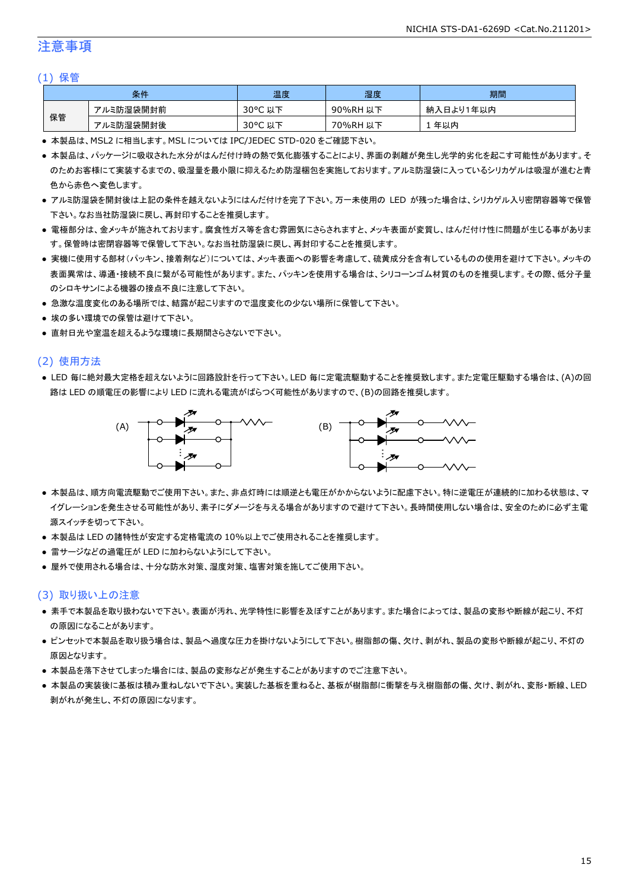### 注意事項

#### (1) 保管

| 条件 |           | 温度                                    | 湿度       | 期間        |
|----|-----------|---------------------------------------|----------|-----------|
| 保管 | アルミ防湿袋開封前 | $30^{\circ}$ C<br><del>ג</del> ו<br>以 | 90%RH 以下 | 納入日より1年以内 |
|    | アルミ防湿袋開封後 | $30^{\circ}$ C<br>以下                  | 70%RH 以下 | 年以内       |

● 本製品は、MSL2 に相当します。MSL については IPC/JEDEC STD-020 をご確認下さい。

- 本製品は、パッケージに吸収された水分がはんだ付け時の熱で気化膨張することにより、界面の剥離が発生し光学的劣化を起こす可能性があります。そ のためお客様にて実装するまでの、吸湿量を最小限に抑えるため防湿梱包を実施しております。アルミ防湿袋に入っているシリカゲルは吸湿が進むと青 色から赤色へ変色します。
- アルミ防湿袋を開封後は上記の条件を越えないようにはんだ付けを完了下さい。万一未使用の LED が残った場合は、シリカゲル入り密閉容器等で保管 下さい。なお当社防湿袋に戻し、再封印することを推奨します。
- 電極部分は、金メッキが施されております。腐食性ガス等を含む雰囲気にさらされますと、メッキ表面が変質し、はんだ付け性に問題が生じる事がありま す。保管時は密閉容器等で保管して下さい。なお当社防湿袋に戻し、再封印することを推奨します。
- 実機に使用する部材(パッキン、接着剤など)については、メッキ表面への影響を考慮して、硫黄成分を含有しているものの使用を避けて下さい。メッキの 表面異常は、導通・接続不良に繋がる可能性があります。また、パッキンを使用する場合は、シリコーンゴム材質のものを推奨します。その際、低分子量 のシロキサンによる機器の接点不良に注意して下さい。
- 急激な温度変化のある場所では、結露が起こりますので温度変化の少ない場所に保管して下さい。
- 埃の多い環境での保管は避けて下さい。
- 直射日光や室温を超えるような環境に長期間さらさないで下さい。

#### (2) 使用方法

● LED 毎に絶対最大定格を超えないように回路設計を行って下さい。LED 毎に定電流駆動することを推奨致します。また定電圧駆動する場合は、(A)の回 路は LED の順電圧の影響により LED に流れる電流がばらつく可能性がありますので、(B)の回路を推奨します。



- 本製品は、順方向電流駆動でご使用下さい。また、非点灯時には順逆とも電圧がかからないように配慮下さい。特に逆電圧が連続的に加わる状態は、マ イグレーションを発生させる可能性があり、素子にダメージを与える場合がありますので避けて下さい。長時間使用しない場合は、安全のために必ず主電 源スイッチを切って下さい。
- 本製品は LED の諸特性が安定する定格電流の 10%以上でご使用されることを推奨します。
- 雷サージなどの過電圧が LED に加わらないようにして下さい。
- 屋外で使用される場合は、十分な防水対策、湿度対策、塩害対策を施してご使用下さい。

#### (3) 取り扱い上の注意

- 素手で本製品を取り扱わないで下さい。表面が汚れ、光学特性に影響を及ぼすことがあります。また場合によっては、製品の変形や断線が起こり、不灯 の原因になることがあります。
- ピンセットで本製品を取り扱う場合は、製品へ過度な圧力を掛けないようにして下さい。樹脂部の傷、欠け、剥がれ、製品の変形や断線が起こり、不灯の 原因となります。
- 本製品を落下させてしまった場合には、製品の変形などが発生することがありますのでご注意下さい。
- 本製品の実装後に基板は積み重ねしないで下さい。実装した基板を重ねると、基板が樹脂部に衝撃を与え樹脂部の傷、欠け、剥がれ、変形・断線、LED 剥がれが発生し、不灯の原因になります。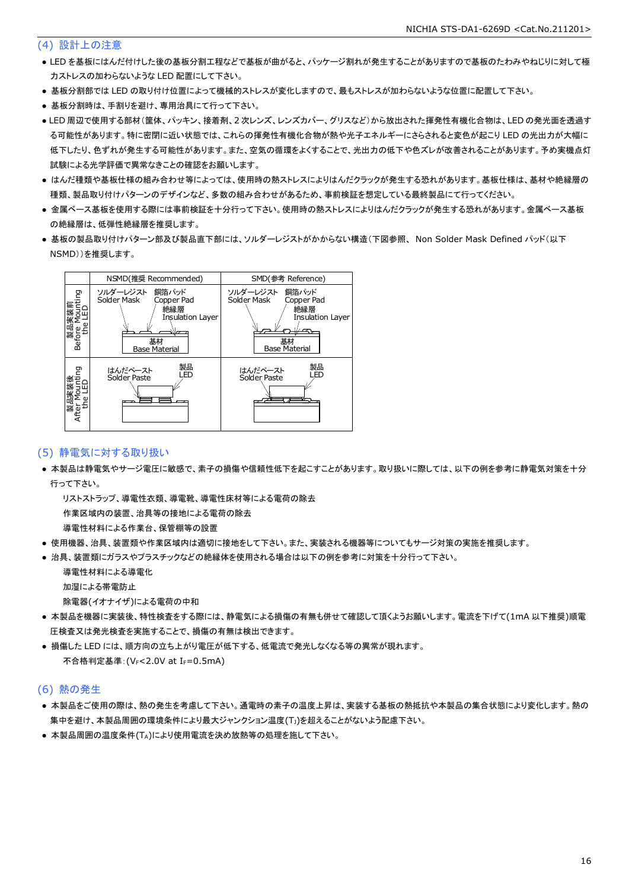### (4) 設計上の注意

- LED を基板にはんだ付けした後の基板分割工程などで基板が曲がると、パッケージ割れが発生することがありますので基板のたわみやねじりに対して極 力ストレスの加わらないような LED 配置にして下さい。
- 基板分割部では LED の取り付け位置によって機械的ストレスが変化しますので、最もストレスが加わらないような位置に配置して下さい。
- 基板分割時は、手割りを避け、専用治具にて行って下さい。
- LED 周辺で使用する部材(筐体、パッキン、接着剤、2 次レンズ、レンズカバー、グリスなど)から放出された揮発性有機化合物は、LED の発光面を透過す る可能性があります。特に密閉に近い状態では、これらの揮発性有機化合物が熱や光子エネルギーにさらされると変色が起こり LED の光出力が大幅に 低下したり、色ずれが発生する可能性があります。また、空気の循環をよくすることで、光出力の低下や色ズレが改善されることがあります。予め実機点灯 試験による光学評価で異常なきことの確認をお願いします。
- はんだ種類や基板仕様の組み合わせ等によっては、使用時の熱ストレスによりはんだクラックが発生する恐れがあります。基板仕様は、基材や絶縁層の 種類、製品取り付けパターンのデザインなど、多数の組み合わせがあるため、事前検証を想定している最終製品にて行ってください。
- 金属ベース基板を使用する際には事前検証を十分行って下さい。使用時の熱ストレスによりはんだクラックが発生する恐れがあります。金属ベース基板 の絶縁層は、低弾性絶縁層を推奨します。
- 基板の製品取り付けパターン部及び製品直下部には、ソルダーレジストがかからない構造(下図参照、 Non Solder Mask Defined パッド(以下 NSMD))を推奨します。



### (5) 静電気に対する取り扱い

● 本製品は静電気やサージ電圧に敏感で、素子の損傷や信頼性低下を起こすことがあります。取り扱いに際しては、以下の例を参考に静電気対策を十分 行って下さい。

 リストストラップ、導電性衣類、導電靴、導電性床材等による電荷の除去 作業区域内の装置、治具等の接地による電荷の除去

導電性材料による作業台、保管棚等の設置

- 使用機器、治具、装置類や作業区域内は適切に接地をして下さい。また、実装される機器等についてもサージ対策の実施を推奨します。
- 治具、装置類にガラスやプラスチックなどの絶縁体を使用される場合は以下の例を参考に対策を十分行って下さい。

 導電性材料による導電化 加湿による帯電防止

除電器(イオナイザ)による電荷の中和

- 本製品を機器に実装後、特性検査をする際には、静電気による損傷の有無も併せて確認して頂くようお願いします。電流を下げて(1mA 以下推奨)順電 圧検査又は発光検査を実施することで、損傷の有無は検出できます。
- 損傷した LED には、順方向の立ち上がり電圧が低下する、低電流で発光しなくなる等の異常が現れます。 不合格判定基準: (VF<2.0V at IF=0.5mA)

#### (6) 熱の発生

- 本製品をご使用の際は、熱の発生を考慮して下さい。通電時の素子の温度上昇は、実装する基板の熱抵抗や本製品の集合状態により変化します。熱の 集中を避け、本製品周囲の環境条件により最大ジャンクション温度(TJ)を超えることがないよう配慮下さい。
- 本製品周囲の温度条件(TA)により使用電流を決め放熱等の処理を施して下さい。